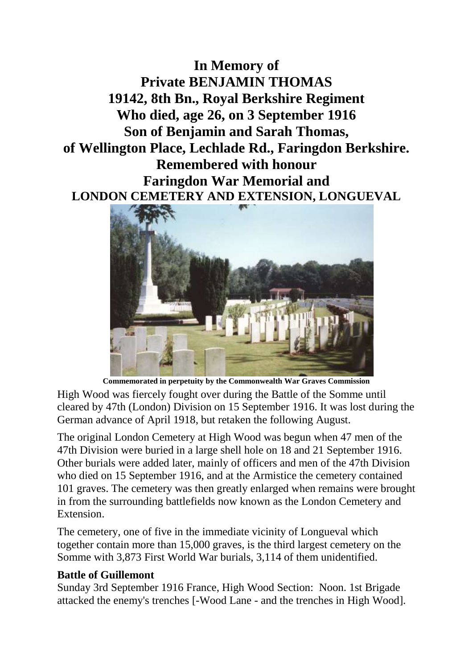**In Memory of Private BENJAMIN THOMAS 19142, 8th Bn., Royal Berkshire Regiment Who died, age 26, on 3 September 1916 Son of Benjamin and Sarah Thomas, of Wellington Place, Lechlade Rd., Faringdon Berkshire. Remembered with honour Faringdon War Memorial and LONDON CEMETERY AND EXTENSION, LONGUEVAL**



**Commemorated in perpetuity by the Commonwealth War Graves Commission** 

High Wood was fiercely fought over during the Battle of the Somme until cleared by 47th (London) Division on 15 September 1916. It was lost during the German advance of April 1918, but retaken the following August.

The original London Cemetery at High Wood was begun when 47 men of the 47th Division were buried in a large shell hole on 18 and 21 September 1916. Other burials were added later, mainly of officers and men of the 47th Division who died on 15 September 1916, and at the Armistice the cemetery contained 101 graves. The cemetery was then greatly enlarged when remains were brought in from the surrounding battlefields now known as the London Cemetery and Extension.

The cemetery, one of five in the immediate vicinity of Longueval which together contain more than 15,000 graves, is the third largest cemetery on the Somme with 3,873 First World War burials, 3,114 of them unidentified.

## **Battle of Guillemont**

Sunday 3rd September 1916 France, High Wood Section: Noon. 1st Brigade attacked the enemy's trenches [-Wood Lane - and the trenches in High Wood].